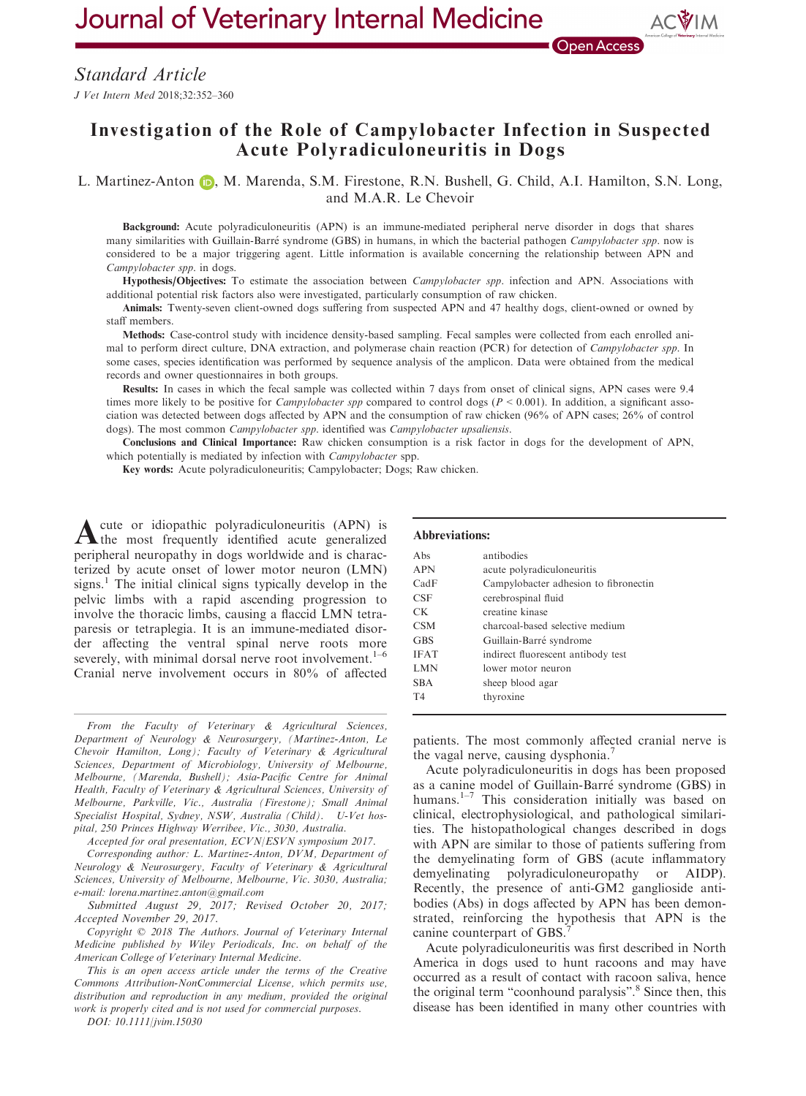Journal of Veterinary Internal Medicine

# Investigation of the Role of Campylobacter Infection in Suspected Acute Polyradiculoneuritis in Dogs

L. Martinez-Anton **D.**, M. Marenda, S.M. Firestone, R.N. Bushell, G. Child, A.I. Hamilton, S.N. Long, and M.A.R. Le Chevoir

Background: Acute polyradiculoneuritis (APN) is an immune-mediated peripheral nerve disorder in dogs that shares many similarities with Guillain-Barré syndrome (GBS) in humans, in which the bacterial pathogen Campylobacter spp. now is considered to be a major triggering agent. Little information is available concerning the relationship between APN and Campylobacter spp. in dogs.

Hypothesis/Objectives: To estimate the association between *Campylobacter spp*. infection and APN. Associations with additional potential risk factors also were investigated, particularly consumption of raw chicken.

Animals: Twenty-seven client-owned dogs suffering from suspected APN and 47 healthy dogs, client-owned or owned by staff members.

Methods: Case-control study with incidence density-based sampling. Fecal samples were collected from each enrolled animal to perform direct culture, DNA extraction, and polymerase chain reaction (PCR) for detection of *Campylobacter spp*. In some cases, species identification was performed by sequence analysis of the amplicon. Data were obtained from the medical records and owner questionnaires in both groups.

Results: In cases in which the fecal sample was collected within 7 days from onset of clinical signs, APN cases were 9.4 times more likely to be positive for *Campylobacter spp* compared to control dogs ( $P < 0.001$ ). In addition, a significant association was detected between dogs affected by APN and the consumption of raw chicken (96% of APN cases; 26% of control dogs). The most common *Campylobacter spp*. identified was *Campylobacter upsaliensis*.

Conclusions and Clinical Importance: Raw chicken consumption is a risk factor in dogs for the development of APN, which potentially is mediated by infection with *Campylobacter* spp.

Key words: Acute polyradiculoneuritis; Campylobacter; Dogs; Raw chicken.

Acute or idiopathic polyradiculoneuritis (APN) is the most frequently identified acute generalized peripheral neuropathy in dogs worldwide and is characterized by acute onset of lower motor neuron (LMN) signs.<sup>1</sup> The initial clinical signs typically develop in the pelvic limbs with a rapid ascending progression to involve the thoracic limbs, causing a flaccid LMN tetraparesis or tetraplegia. It is an immune-mediated disorder affecting the ventral spinal nerve roots more severely, with minimal dorsal nerve root involvement.<sup>1-6</sup> Cranial nerve involvement occurs in 80% of affected

From the Faculty of Veterinary & Agricultural Sciences, Department of Neurology & Neurosurgery, (Martinez-Anton, Le Chevoir Hamilton, Long); Faculty of Veterinary & Agricultural Sciences, Department of Microbiology, University of Melbourne, Melbourne, (Marenda, Bushell); Asia-Pacific Centre for Animal Health, Faculty of Veterinary & Agricultural Sciences, University of Melbourne, Parkville, Vic., Australia (Firestone); Small Animal Specialist Hospital, Sydney, NSW, Australia (Child). U-Vet hospital, 250 Princes Highway Werribee, Vic., 3030, Australia.

Accepted for oral presentation, ECVN/ESVN symposium 2017.

Corresponding author: L. Martinez-Anton, DVM, Department of Neurology & Neurosurgery, Faculty of Veterinary & Agricultural Sciences, University of Melbourne, Melbourne, Vic. 3030, Australia; e-mail: lorena.martinez.anton@gmail.com

Submitted August 29, 2017; Revised October 20, 2017; Accepted November 29, 2017.

Copyright © 2018 The Authors. Journal of Veterinary Internal Medicine published by Wiley Periodicals, Inc. on behalf of the American College of Veterinary Internal Medicine.

This is an open access article under the terms of the [Creative](http://creativecommons.org/licenses/by-nc/4.0/) [Commons Attribution-NonCommercial](http://creativecommons.org/licenses/by-nc/4.0/) License, which permits use, distribution and reproduction in any medium, provided the original work is properly cited and is not used for commercial purposes.

DOI: 10.1111/jvim.15030

#### Abbreviations:

| Abs            | antibodies                            |
|----------------|---------------------------------------|
| <b>APN</b>     | acute polyradiculoneuritis            |
| CadF           | Campylobacter adhesion to fibronectin |
| <b>CSF</b>     | cerebrospinal fluid                   |
| CK.            | creatine kinase                       |
| <b>CSM</b>     | charcoal-based selective medium       |
| <b>GBS</b>     | Guillain-Barré syndrome               |
| <b>IFAT</b>    | indirect fluorescent antibody test    |
| <b>LMN</b>     | lower motor neuron                    |
| <b>SBA</b>     | sheep blood agar                      |
| T <sub>4</sub> | thyroxine                             |
|                |                                       |

patients. The most commonly affected cranial nerve is the vagal nerve, causing dysphonia.<sup>7</sup>

Acute polyradiculoneuritis in dogs has been proposed as a canine model of Guillain-Barre syndrome (GBS) in humans.<sup>1-7</sup> This consideration initially was based on clinical, electrophysiological, and pathological similarities. The histopathological changes described in dogs with APN are similar to those of patients suffering from the demyelinating form of GBS (acute inflammatory demyelinating polyradiculoneuropathy or AIDP). Recently, the presence of anti-GM2 ganglioside antibodies (Abs) in dogs affected by APN has been demonstrated, reinforcing the hypothesis that APN is the canine counterpart of GBS.

Acute polyradiculoneuritis was first described in North America in dogs used to hunt racoons and may have occurred as a result of contact with racoon saliva, hence the original term "coonhound paralysis".<sup>8</sup> Since then, this disease has been identified in many other countries with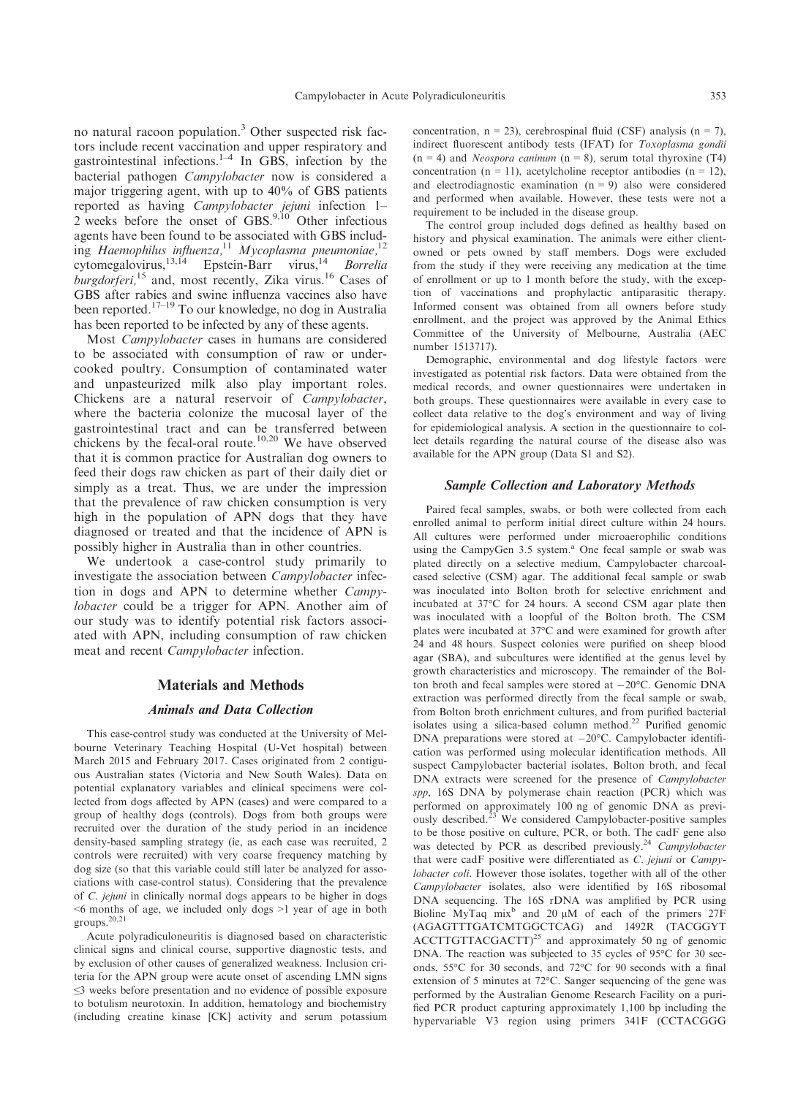no natural racoon population.<sup>3</sup> Other suspected risk factors include recent vaccination and upper respiratory and gastrointestinal infections. $1-4$  In GBS, infection by the bacterial pathogen Campylobacter now is considered a major triggering agent, with up to 40% of GBS patients reported as having Campylobacter jejuni infection 1-2 weeks before the onset of GBS. $9,10$  Other infectious agents have been found to be associated with GBS including Haemophilus influenza,<sup>11</sup> Mycoplasma pneumoniae,<sup>12</sup> cytomegalovirus,<sup>13,14</sup> Epstein-Barr virus,<sup>14</sup> Borrelia burgdorferi,<sup>15</sup> and, most recently, Zika virus.<sup>16</sup> Cases of GBS after rabies and swine influenza vaccines also have been reported.17–<sup>19</sup> To our knowledge, no dog in Australia has been reported to be infected by any of these agents.

Most Campylobacter cases in humans are considered to be associated with consumption of raw or undercooked poultry. Consumption of contaminated water and unpasteurized milk also play important roles. Chickens are a natural reservoir of Campylobacter, where the bacteria colonize the mucosal layer of the gastrointestinal tract and can be transferred between chickens by the fecal-oral route.<sup>10,20</sup> We have observed that it is common practice for Australian dog owners to feed their dogs raw chicken as part of their daily diet or simply as a treat. Thus, we are under the impression that the prevalence of raw chicken consumption is very high in the population of APN dogs that they have diagnosed or treated and that the incidence of APN is possibly higher in Australia than in other countries.

We undertook a case-control study primarily to investigate the association between *Campylobacter* infection in dogs and APN to determine whether Campylobacter could be a trigger for APN. Another aim of our study was to identify potential risk factors associated with APN, including consumption of raw chicken meat and recent Campylobacter infection.

#### Materials and Methods

#### Animals and Data Collection

This case-control study was conducted at the University of Melbourne Veterinary Teaching Hospital (U-Vet hospital) between March 2015 and February 2017. Cases originated from 2 contiguous Australian states (Victoria and New South Wales). Data on potential explanatory variables and clinical specimens were collected from dogs affected by APN (cases) and were compared to a group of healthy dogs (controls). Dogs from both groups were recruited over the duration of the study period in an incidence density-based sampling strategy (ie, as each case was recruited, 2 controls were recruited) with very coarse frequency matching by dog size (so that this variable could still later be analyzed for associations with case-control status). Considering that the prevalence of C. jejuni in clinically normal dogs appears to be higher in dogs  $\leq 6$  months of age, we included only dogs  $\geq 1$  year of age in both groups.20,21

Acute polyradiculoneuritis is diagnosed based on characteristic clinical signs and clinical course, supportive diagnostic tests, and by exclusion of other causes of generalized weakness. Inclusion criteria for the APN group were acute onset of ascending LMN signs ≤3 weeks before presentation and no evidence of possible exposure to botulism neurotoxin. In addition, hematology and biochemistry (including creatine kinase [CK] activity and serum potassium concentration,  $n = 23$ ), cerebrospinal fluid (CSF) analysis  $(n = 7)$ , indirect fluorescent antibody tests (IFAT) for Toxoplasma gondii  $(n = 4)$  and *Neospora caninum*  $(n = 8)$ , serum total thyroxine (T4) concentration  $(n = 11)$ , acetylcholine receptor antibodies  $(n = 12)$ , and electrodiagnostic examination  $(n = 9)$  also were considered and performed when available. However, these tests were not a requirement to be included in the disease group.

The control group included dogs defined as healthy based on history and physical examination. The animals were either clientowned or pets owned by staff members. Dogs were excluded from the study if they were receiving any medication at the time of enrollment or up to 1 month before the study, with the exception of vaccinations and prophylactic antiparasitic therapy. Informed consent was obtained from all owners before study enrollment, and the project was approved by the Animal Ethics Committee of the University of Melbourne, Australia (AEC number 1513717).

Demographic, environmental and dog lifestyle factors were investigated as potential risk factors. Data were obtained from the medical records, and owner questionnaires were undertaken in both groups. These questionnaires were available in every case to collect data relative to the dog's environment and way of living for epidemiological analysis. A section in the questionnaire to collect details regarding the natural course of the disease also was available for the APN group (Data S1 and S2).

## Sample Collection and Laboratory Methods

Paired fecal samples, swabs, or both were collected from each enrolled animal to perform initial direct culture within 24 hours. All cultures were performed under microaerophilic conditions using the CampyGen 3.5 system.<sup>a</sup> One fecal sample or swab was plated directly on a selective medium, Campylobacter charcoalcased selective (CSM) agar. The additional fecal sample or swab was inoculated into Bolton broth for selective enrichment and incubated at 37°C for 24 hours. A second CSM agar plate then was inoculated with a loopful of the Bolton broth. The CSM plates were incubated at 37°C and were examined for growth after 24 and 48 hours. Suspect colonies were purified on sheep blood agar (SBA), and subcultures were identified at the genus level by growth characteristics and microscopy. The remainder of the Bolton broth and fecal samples were stored at  $-20^{\circ}$ C. Genomic DNA extraction was performed directly from the fecal sample or swab, from Bolton broth enrichment cultures, and from purified bacterial isolates using a silica-based column method.<sup>22</sup> Purified genomic DNA preparations were stored at  $-20^{\circ}$ C. Campylobacter identification was performed using molecular identification methods. All suspect Campylobacter bacterial isolates, Bolton broth, and fecal DNA extracts were screened for the presence of Campylobacter spp, 16S DNA by polymerase chain reaction (PCR) which was performed on approximately 100 ng of genomic DNA as previously described. $23$  We considered Campylobacter-positive samples to be those positive on culture, PCR, or both. The cadF gene also was detected by PCR as described previously.<sup>24</sup> Campylobacter that were cadF positive were differentiated as C. jejuni or Campylobacter coli. However those isolates, together with all of the other Campylobacter isolates, also were identified by 16S ribosomal DNA sequencing. The 16S rDNA was amplified by PCR using Bioline MyTaq mix<sup>b</sup> and 20  $\mu$ M of each of the primers 27F (AGAGTTTGATCMTGGCTCAG) and 1492R (TACGGYT ACCTTGTTACGACTT)<sup>25</sup> and approximately 50 ng of genomic DNA. The reaction was subjected to 35 cycles of 95°C for 30 seconds, 55°C for 30 seconds, and 72°C for 90 seconds with a final extension of 5 minutes at 72°C. Sanger sequencing of the gene was performed by the Australian Genome Research Facility on a purified PCR product capturing approximately 1,100 bp including the hypervariable V3 region using primers 341F (CCTACGGG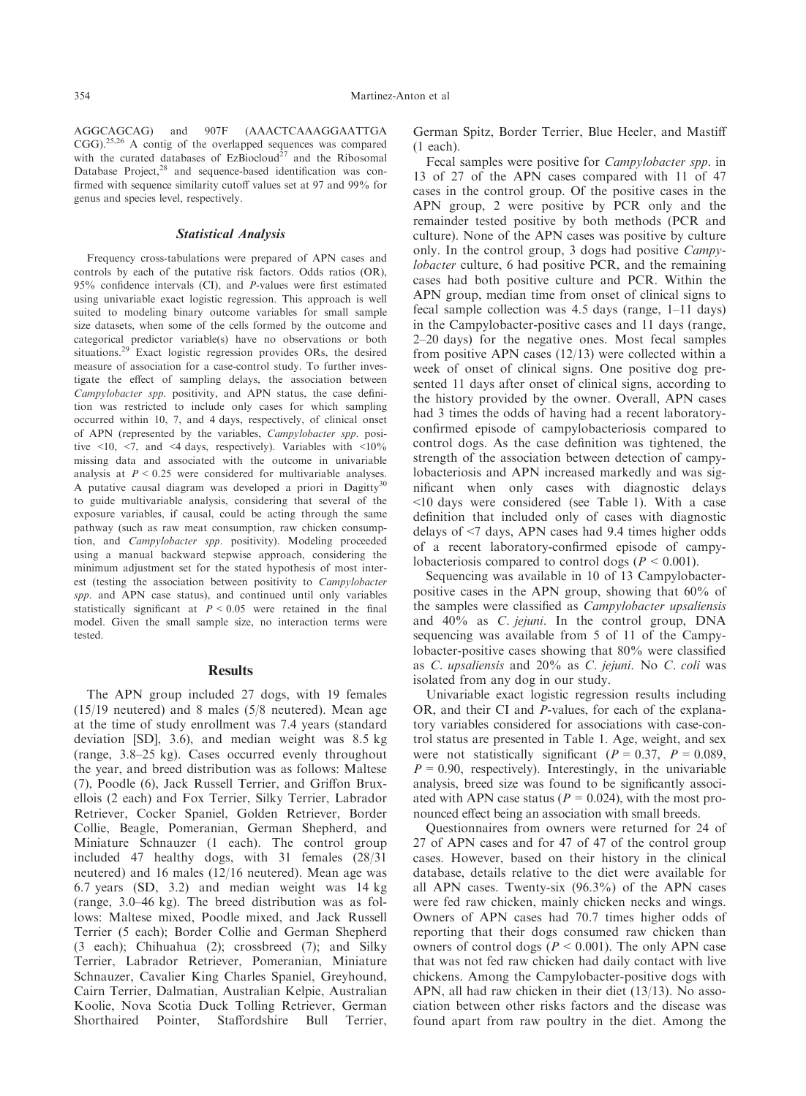AGGCAGCAG) and 907F (AAACTCAAAGGAATTGA CGG).25,26 A contig of the overlapped sequences was compared with the curated databases of  $EzBiocloud<sup>27</sup>$  and the Ribosomal Database Project,<sup>28</sup> and sequence-based identification was confirmed with sequence similarity cutoff values set at 97 and 99% for genus and species level, respectively.

# Statistical Analysis

Frequency cross-tabulations were prepared of APN cases and controls by each of the putative risk factors. Odds ratios (OR), 95% confidence intervals (CI), and P-values were first estimated using univariable exact logistic regression. This approach is well suited to modeling binary outcome variables for small sample size datasets, when some of the cells formed by the outcome and categorical predictor variable(s) have no observations or both situations.29 Exact logistic regression provides ORs, the desired measure of association for a case-control study. To further investigate the effect of sampling delays, the association between Campylobacter spp. positivity, and APN status, the case definition was restricted to include only cases for which sampling occurred within 10, 7, and 4 days, respectively, of clinical onset of APN (represented by the variables, Campylobacter spp. positive  $\leq 10$ ,  $\leq 7$ , and  $\leq 4$  days, respectively). Variables with  $\leq 10\%$ missing data and associated with the outcome in univariable analysis at  $P \leq 0.25$  were considered for multivariable analyses. A putative causal diagram was developed a priori in Dagitty<sup>30</sup> to guide multivariable analysis, considering that several of the exposure variables, if causal, could be acting through the same pathway (such as raw meat consumption, raw chicken consumption, and Campylobacter spp. positivity). Modeling proceeded using a manual backward stepwise approach, considering the minimum adjustment set for the stated hypothesis of most interest (testing the association between positivity to Campylobacter spp. and APN case status), and continued until only variables statistically significant at  $P < 0.05$  were retained in the final model. Given the small sample size, no interaction terms were tested.

## **Results**

The APN group included 27 dogs, with 19 females (15/19 neutered) and 8 males (5/8 neutered). Mean age at the time of study enrollment was 7.4 years (standard deviation [SD], 3.6), and median weight was 8.5 kg (range, 3.8–25 kg). Cases occurred evenly throughout the year, and breed distribution was as follows: Maltese (7), Poodle (6), Jack Russell Terrier, and Griffon Bruxellois (2 each) and Fox Terrier, Silky Terrier, Labrador Retriever, Cocker Spaniel, Golden Retriever, Border Collie, Beagle, Pomeranian, German Shepherd, and Miniature Schnauzer (1 each). The control group included 47 healthy dogs, with 31 females (28/31 neutered) and 16 males (12/16 neutered). Mean age was 6.7 years (SD, 3.2) and median weight was 14 kg (range, 3.0–46 kg). The breed distribution was as follows: Maltese mixed, Poodle mixed, and Jack Russell Terrier (5 each); Border Collie and German Shepherd (3 each); Chihuahua (2); crossbreed (7); and Silky Terrier, Labrador Retriever, Pomeranian, Miniature Schnauzer, Cavalier King Charles Spaniel, Greyhound, Cairn Terrier, Dalmatian, Australian Kelpie, Australian Koolie, Nova Scotia Duck Tolling Retriever, German Shorthaired Pointer, Staffordshire Bull Terrier,

German Spitz, Border Terrier, Blue Heeler, and Mastiff (1 each).

Fecal samples were positive for Campylobacter spp. in 13 of 27 of the APN cases compared with 11 of 47 cases in the control group. Of the positive cases in the APN group, 2 were positive by PCR only and the remainder tested positive by both methods (PCR and culture). None of the APN cases was positive by culture only. In the control group, 3 dogs had positive Campylobacter culture, 6 had positive PCR, and the remaining cases had both positive culture and PCR. Within the APN group, median time from onset of clinical signs to fecal sample collection was 4.5 days (range, 1–11 days) in the Campylobacter-positive cases and 11 days (range, 2–20 days) for the negative ones. Most fecal samples from positive APN cases (12/13) were collected within a week of onset of clinical signs. One positive dog presented 11 days after onset of clinical signs, according to the history provided by the owner. Overall, APN cases had 3 times the odds of having had a recent laboratoryconfirmed episode of campylobacteriosis compared to control dogs. As the case definition was tightened, the strength of the association between detection of campylobacteriosis and APN increased markedly and was significant when only cases with diagnostic delays <10 days were considered (see Table 1). With a case definition that included only of cases with diagnostic delays of <7 days, APN cases had 9.4 times higher odds of a recent laboratory-confirmed episode of campylobacteriosis compared to control dogs ( $P < 0.001$ ).

Sequencing was available in 10 of 13 Campylobacterpositive cases in the APN group, showing that 60% of the samples were classified as Campylobacter upsaliensis and 40% as C. jejuni. In the control group, DNA sequencing was available from 5 of 11 of the Campylobacter-positive cases showing that 80% were classified as C. upsaliensis and 20% as C. jejuni. No C. coli was isolated from any dog in our study.

Univariable exact logistic regression results including OR, and their CI and P-values, for each of the explanatory variables considered for associations with case-control status are presented in Table 1. Age, weight, and sex were not statistically significant ( $P = 0.37$ ,  $P = 0.089$ ,  $P = 0.90$ , respectively). Interestingly, in the univariable analysis, breed size was found to be significantly associated with APN case status ( $P = 0.024$ ), with the most pronounced effect being an association with small breeds.

Questionnaires from owners were returned for 24 of 27 of APN cases and for 47 of 47 of the control group cases. However, based on their history in the clinical database, details relative to the diet were available for all APN cases. Twenty-six (96.3%) of the APN cases were fed raw chicken, mainly chicken necks and wings. Owners of APN cases had 70.7 times higher odds of reporting that their dogs consumed raw chicken than owners of control dogs  $(P < 0.001)$ . The only APN case that was not fed raw chicken had daily contact with live chickens. Among the Campylobacter-positive dogs with APN, all had raw chicken in their diet (13/13). No association between other risks factors and the disease was found apart from raw poultry in the diet. Among the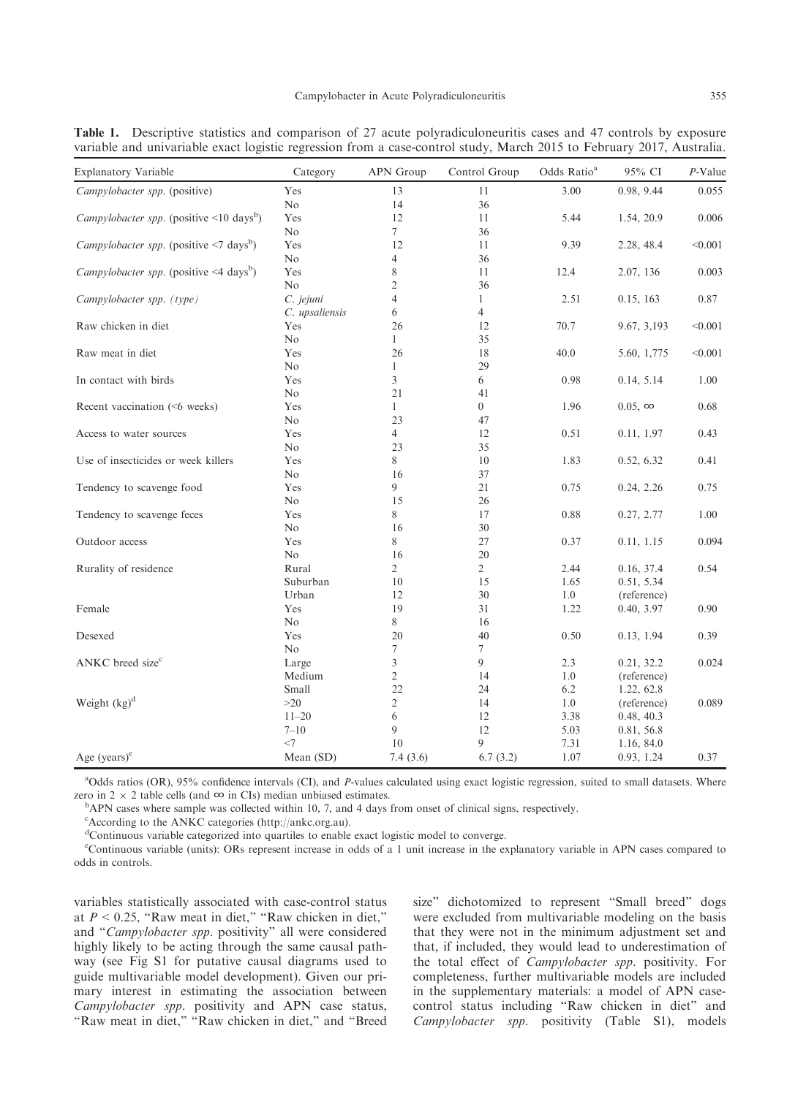| <b>Explanatory Variable</b>                                    | Category       | APN Group      | Control Group    | Odds Ratio <sup>a</sup> | 95% CI         | P-Value |
|----------------------------------------------------------------|----------------|----------------|------------------|-------------------------|----------------|---------|
| Campylobacter spp. (positive)                                  | Yes            | 13             | 11               | 3.00                    | 0.98, 9.44     | 0.055   |
|                                                                | No             | 14             | 36               |                         |                |         |
| <i>Campylobacter spp.</i> (positive $\leq 10 \text{ days}^b$ ) | Yes            | 12             | 11               | 5.44                    | 1.54, 20.9     | 0.006   |
|                                                                | No             | 7              | 36               |                         |                |         |
| <i>Campylobacter spp.</i> (positive $\leq$ days <sup>b</sup> ) | Yes            | 12             | 11               | 9.39                    | 2.28, 48.4     | < 0.001 |
|                                                                | No             | 4              | 36               |                         |                |         |
| Campylobacter spp. (positive <4 days <sup>b</sup> )            | Yes            | 8              | 11               | 12.4                    | 2.07, 136      | 0.003   |
|                                                                | No             | $\overline{c}$ | 36               |                         |                |         |
| Campylobacter spp. (type)                                      | C. jejuni      | 4              | 1                | 2.51                    | 0.15, 163      | 0.87    |
|                                                                | C. upsaliensis | 6              | 4                |                         |                |         |
| Raw chicken in diet                                            | Yes            | 26             | 12               | 70.7                    | 9.67, 3,193    | < 0.001 |
|                                                                | No             | $\mathbf{1}$   | 35               |                         |                |         |
| Raw meat in diet                                               | Yes            | 26             | 18               | 40.0                    | 5.60, 1,775    | < 0.001 |
|                                                                | No             | 1              | 29               |                         |                |         |
| In contact with birds                                          | Yes            | 3              | 6                | 0.98                    | 0.14, 5.14     | 1.00    |
|                                                                | No             | 21             | 41               |                         |                |         |
| Recent vaccination (<6 weeks)                                  | Yes            | 1              | $\boldsymbol{0}$ | 1.96                    | $0.05, \infty$ | 0.68    |
|                                                                | No             | 23             | 47               |                         |                |         |
| Access to water sources                                        | Yes            | 4              | 12               | 0.51                    | 0.11, 1.97     | 0.43    |
|                                                                | No             | 23             | 35               |                         |                |         |
| Use of insecticides or week killers                            | Yes            | 8              | 10               | 1.83                    | 0.52, 6.32     | 0.41    |
|                                                                | No             | 16             | 37               |                         |                |         |
| Tendency to scavenge food                                      | Yes            | 9              | 21               | 0.75                    | 0.24, 2.26     | 0.75    |
|                                                                | No             | 15             | 26               |                         |                |         |
| Tendency to scavenge feces                                     | Yes            | 8              | 17               | 0.88                    | 0.27, 2.77     | 1.00    |
|                                                                | No             | 16             | 30               |                         |                |         |
| Outdoor access                                                 | Yes            | 8              | 27               | 0.37                    | 0.11, 1.15     | 0.094   |
|                                                                | No             | 16             | 20               |                         |                |         |
| Rurality of residence                                          | Rural          | $\overline{2}$ | $\overline{2}$   | 2.44                    | 0.16, 37.4     | 0.54    |
|                                                                | Suburban       | 10             | 15               | 1.65                    | 0.51, 5.34     |         |
|                                                                | Urban          | 12             | 30               | 1.0                     | (reference)    |         |
| Female                                                         | Yes            | 19             | 31               | 1.22                    | 0.40, 3.97     | 0.90    |
|                                                                | No             | 8              | 16               |                         |                |         |
| Desexed                                                        | Yes            | 20             | 40               | 0.50                    | 0.13, 1.94     | 0.39    |
|                                                                | $\rm No$       | 7              | 7                |                         |                |         |
| ANKC breed size <sup>c</sup>                                   | Large          | 3              | 9                | 2.3                     | 0.21, 32.2     | 0.024   |
|                                                                | Medium         | $\mathfrak{2}$ | 14               | 1.0                     | (reference)    |         |
|                                                                | Small          | 22             | 24               | 6.2                     | 1.22, 62.8     |         |
| Weight $(kg)^d$                                                | >20            | 2              | 14               | 1.0                     | (reference)    | 0.089   |
|                                                                | $11 - 20$      | 6              | 12               | 3.38                    | 0.48, 40.3     |         |
|                                                                | $7 - 10$       | 9              | 12               | 5.03                    | 0.81, 56.8     |         |
|                                                                | $<$ 7          | 10             | 9                | 7.31                    | 1.16, 84.0     |         |
| Age $(vears)^e$                                                | Mean (SD)      | 7.4(3.6)       | 6.7(3.2)         | 1.07                    | 0.93, 1.24     | 0.37    |

Table 1. Descriptive statistics and comparison of 27 acute polyradiculoneuritis cases and 47 controls by exposure variable and univariable exact logistic regression from a case-control study, March 2015 to February 2017, Australia.

<sup>a</sup>Odds ratios (OR), 95% confidence intervals (CI), and P-values calculated using exact logistic regression, suited to small datasets. Where zero in 2  $\times$  2 table cells (and ∞ in CIs) median unbiased estimates.

 $\rm ^b$ APN cases where sample was collected within 10, 7, and 4 days from onset of clinical signs, respectively.

c According to the ANKC categories ([http://ankc.org.au\)](http://ankc.org.au).

<sup>d</sup>Continuous variable categorized into quartiles to enable exact logistic model to converge.

e Continuous variable (units): ORs represent increase in odds of a 1 unit increase in the explanatory variable in APN cases compared to odds in controls.

variables statistically associated with case-control status at  $P < 0.25$ , "Raw meat in diet," "Raw chicken in diet," and "Campylobacter spp. positivity" all were considered highly likely to be acting through the same causal pathway (see Fig S1 for putative causal diagrams used to guide multivariable model development). Given our primary interest in estimating the association between Campylobacter spp. positivity and APN case status, "Raw meat in diet," "Raw chicken in diet," and "Breed size" dichotomized to represent "Small breed" dogs were excluded from multivariable modeling on the basis that they were not in the minimum adjustment set and that, if included, they would lead to underestimation of the total effect of Campylobacter spp. positivity. For completeness, further multivariable models are included in the supplementary materials: a model of APN casecontrol status including "Raw chicken in diet" and Campylobacter spp. positivity (Table S1), models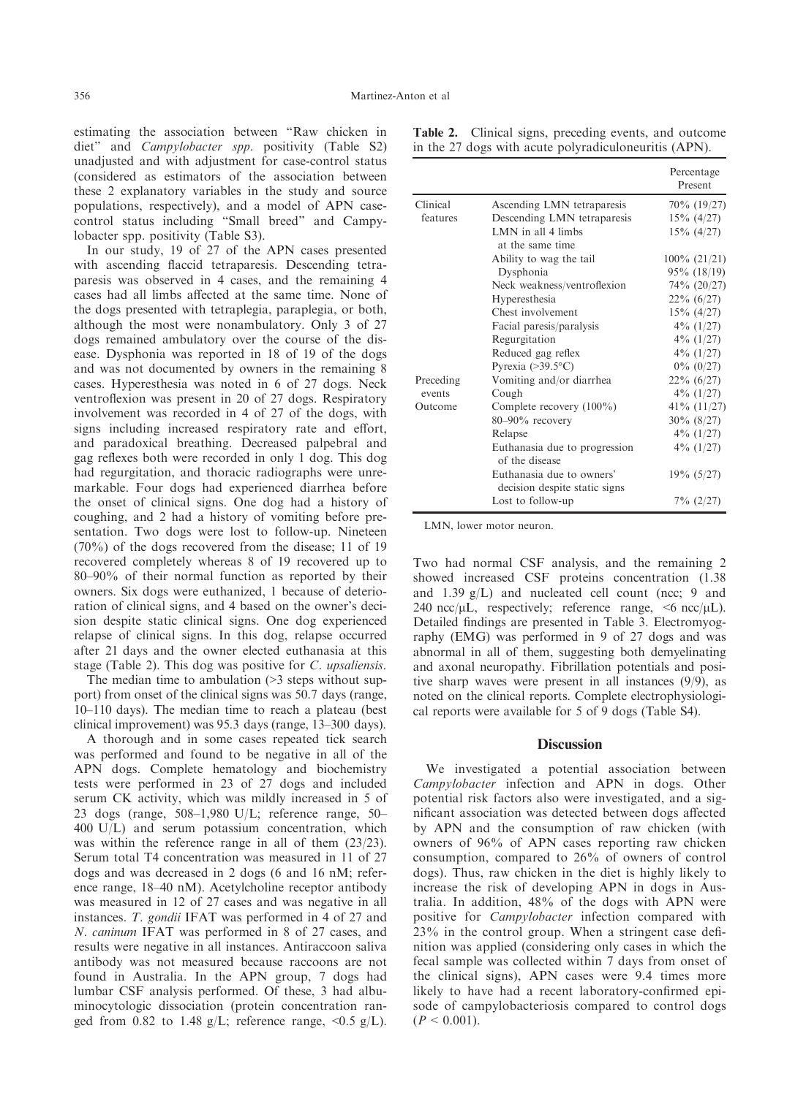estimating the association between "Raw chicken in diet" and Campylobacter spp. positivity (Table S2) unadjusted and with adjustment for case-control status (considered as estimators of the association between these 2 explanatory variables in the study and source populations, respectively), and a model of APN casecontrol status including "Small breed" and Campylobacter spp. positivity (Table S3).

In our study, 19 of 27 of the APN cases presented with ascending flaccid tetraparesis. Descending tetraparesis was observed in 4 cases, and the remaining 4 cases had all limbs affected at the same time. None of the dogs presented with tetraplegia, paraplegia, or both, although the most were nonambulatory. Only 3 of 27 dogs remained ambulatory over the course of the disease. Dysphonia was reported in 18 of 19 of the dogs and was not documented by owners in the remaining 8 cases. Hyperesthesia was noted in 6 of 27 dogs. Neck ventroflexion was present in 20 of 27 dogs. Respiratory involvement was recorded in 4 of 27 of the dogs, with signs including increased respiratory rate and effort, and paradoxical breathing. Decreased palpebral and gag reflexes both were recorded in only 1 dog. This dog had regurgitation, and thoracic radiographs were unremarkable. Four dogs had experienced diarrhea before the onset of clinical signs. One dog had a history of coughing, and 2 had a history of vomiting before presentation. Two dogs were lost to follow-up. Nineteen (70%) of the dogs recovered from the disease; 11 of 19 recovered completely whereas 8 of 19 recovered up to 80–90% of their normal function as reported by their owners. Six dogs were euthanized, 1 because of deterioration of clinical signs, and 4 based on the owner's decision despite static clinical signs. One dog experienced relapse of clinical signs. In this dog, relapse occurred after 21 days and the owner elected euthanasia at this stage (Table 2). This dog was positive for C. upsaliensis.

The median time to ambulation (>3 steps without support) from onset of the clinical signs was 50.7 days (range, 10–110 days). The median time to reach a plateau (best clinical improvement) was 95.3 days (range, 13–300 days).

A thorough and in some cases repeated tick search was performed and found to be negative in all of the APN dogs. Complete hematology and biochemistry tests were performed in 23 of 27 dogs and included serum CK activity, which was mildly increased in 5 of 23 dogs (range, 508–1,980 U/L; reference range, 50– 400 U/L) and serum potassium concentration, which was within the reference range in all of them (23/23). Serum total T4 concentration was measured in 11 of 27 dogs and was decreased in 2 dogs (6 and 16 nM; reference range, 18–40 nM). Acetylcholine receptor antibody was measured in 12 of 27 cases and was negative in all instances. T. gondii IFAT was performed in 4 of 27 and N. caninum IFAT was performed in 8 of 27 cases, and results were negative in all instances. Antiraccoon saliva antibody was not measured because raccoons are not found in Australia. In the APN group, 7 dogs had lumbar CSF analysis performed. Of these, 3 had albuminocytologic dissociation (protein concentration ranged from 0.82 to 1.48 g/L; reference range,  $\langle 0.5 \text{ g/L} \rangle$ .

|  | Table 2. Clinical signs, preceding events, and outcome |  |
|--|--------------------------------------------------------|--|
|  | in the 27 dogs with acute polyradiculoneuritis (APN).  |  |

|           |                                                            | Percentage<br>Present |
|-----------|------------------------------------------------------------|-----------------------|
| Clinical  | Ascending LMN tetraparesis                                 | 70\% (19/27)          |
| features  | Descending LMN tetraparesis                                | $15\%$ (4/27)         |
|           | LMN in all 4 limbs<br>at the same time                     | $15\%$ (4/27)         |
|           | Ability to wag the tail                                    | $100\% (21/21)$       |
|           | Dysphonia                                                  | $95\%$ (18/19)        |
|           | Neck weakness/ventroflexion                                | 74% (20/27)           |
|           | Hyperesthesia                                              | $22\% (6/27)$         |
|           | Chest involvement                                          | $15\%$ (4/27)         |
|           | Facial paresis/paralysis                                   | $4\%$ (1/27)          |
|           | Regurgitation                                              | $4\%$ (1/27)          |
|           | Reduced gag reflex                                         | $4\%$ (1/27)          |
|           | Pyrexia $(>39.5$ °C)                                       | $0\%$ (0/27)          |
| Preceding | Vomiting and/or diarrhea                                   | $22\% (6/27)$         |
| events    | Cough                                                      | $4\%$ (1/27)          |
| Outcome   | Complete recovery $(100\%)$                                | $41\%$ (11/27)        |
|           | $80 - 90\%$ recovery                                       | $30\%$ (8/27)         |
|           | Relapse                                                    | $4\%$ (1/27)          |
|           | Euthanasia due to progression<br>of the disease            | $4\%$ (1/27)          |
|           | Euthanasia due to owners'<br>decision despite static signs | $19\% (5/27)$         |
|           | Lost to follow-up                                          | $7\%$ (2/27)          |

LMN, lower motor neuron.

Two had normal CSF analysis, and the remaining 2 showed increased CSF proteins concentration (1.38 and 1.39 g/L) and nucleated cell count (ncc; 9 and 240 ncc/ $\mu$ L, respectively; reference range, <6 ncc/ $\mu$ L). Detailed findings are presented in Table 3. Electromyography (EMG) was performed in 9 of 27 dogs and was abnormal in all of them, suggesting both demyelinating and axonal neuropathy. Fibrillation potentials and positive sharp waves were present in all instances  $(9/9)$ , as noted on the clinical reports. Complete electrophysiological reports were available for 5 of 9 dogs (Table S4).

# **Discussion**

We investigated a potential association between Campylobacter infection and APN in dogs. Other potential risk factors also were investigated, and a significant association was detected between dogs affected by APN and the consumption of raw chicken (with owners of 96% of APN cases reporting raw chicken consumption, compared to 26% of owners of control dogs). Thus, raw chicken in the diet is highly likely to increase the risk of developing APN in dogs in Australia. In addition, 48% of the dogs with APN were positive for Campylobacter infection compared with 23% in the control group. When a stringent case definition was applied (considering only cases in which the fecal sample was collected within 7 days from onset of the clinical signs), APN cases were 9.4 times more likely to have had a recent laboratory-confirmed episode of campylobacteriosis compared to control dogs  $(P < 0.001)$ .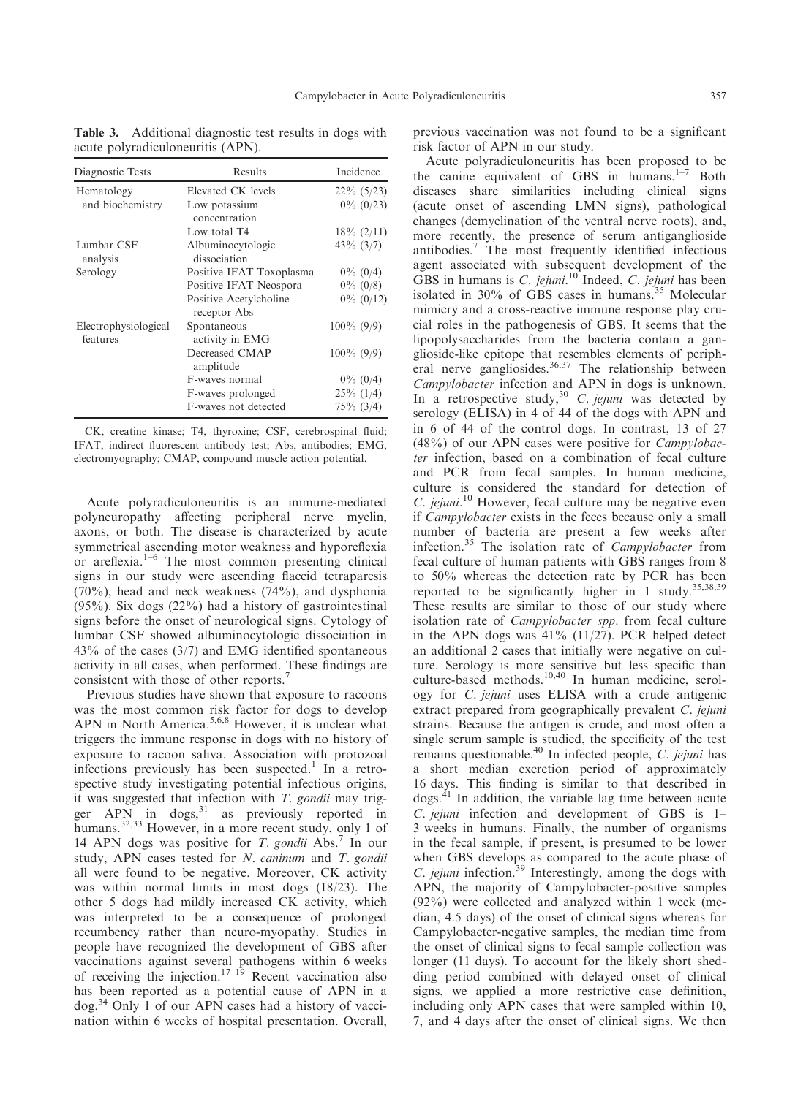| Diagnostic Tests                 | Results                                | Incidence      |
|----------------------------------|----------------------------------------|----------------|
| Hematology                       | Elevated CK levels                     | $22\%$ (5/23)  |
| and biochemistry                 | Low potassium<br>concentration         | $0\%$ (0/23)   |
|                                  | Low total T4                           | $18\% (2/11)$  |
| Lumbar CSF<br>analysis           | Albuminocytologic<br>dissociation      | $43\%$ $(3/7)$ |
| Serology                         | Positive IFAT Toxoplasma               | $0\%$ (0/4)    |
|                                  | Positive IFAT Neospora                 | $0\%$ (0/8)    |
|                                  | Positive Acetylcholine<br>receptor Abs | $0\%$ (0/12)   |
| Electrophysiological<br>features | Spontaneous<br>activity in EMG         | $100\%$ (9/9)  |
|                                  | Decreased CMAP<br>amplitude            | $100\%$ (9/9)  |
|                                  | F-waves normal                         | $0\%$ (0/4)    |
|                                  | F-waves prolonged                      | $25\%$ (1/4)   |
|                                  | F-waves not detected                   | $75\%$ (3/4)   |

Table 3. Additional diagnostic test results in dogs with acute polyradiculoneuritis (APN).

CK, creatine kinase; T4, thyroxine; CSF, cerebrospinal fluid; IFAT, indirect fluorescent antibody test; Abs, antibodies; EMG, electromyography; CMAP, compound muscle action potential.

Acute polyradiculoneuritis is an immune-mediated polyneuropathy affecting peripheral nerve myelin, axons, or both. The disease is characterized by acute symmetrical ascending motor weakness and hyporeflexia or areflexia.1–<sup>6</sup> The most common presenting clinical signs in our study were ascending flaccid tetraparesis (70%), head and neck weakness (74%), and dysphonia  $(95\%)$ . Six dogs  $(22\%)$  had a history of gastrointestinal signs before the onset of neurological signs. Cytology of lumbar CSF showed albuminocytologic dissociation in 43% of the cases (3/7) and EMG identified spontaneous activity in all cases, when performed. These findings are consistent with those of other reports.<sup>7</sup>

Previous studies have shown that exposure to racoons was the most common risk factor for dogs to develop APN in North America.<sup>5,6,8</sup> However, it is unclear what triggers the immune response in dogs with no history of exposure to racoon saliva. Association with protozoal infections previously has been suspected.<sup>1</sup> In a retrospective study investigating potential infectious origins, it was suggested that infection with  $T$ . gondii may trigger  $APN$  in dogs,  $31$  as previously reported in humans.<sup>32,33</sup> However, in a more recent study, only 1 of 14 APN dogs was positive for T. gondii Abs.<sup>7</sup> In our study, APN cases tested for N. caninum and T. gondii all were found to be negative. Moreover, CK activity was within normal limits in most dogs (18/23). The other 5 dogs had mildly increased CK activity, which was interpreted to be a consequence of prolonged recumbency rather than neuro-myopathy. Studies in people have recognized the development of GBS after vaccinations against several pathogens within 6 weeks of receiving the injection.<sup>17–19</sup> Recent vaccination also has been reported as a potential cause of APN in a dog.<sup>34</sup> Only 1 of our APN cases had a history of vaccination within 6 weeks of hospital presentation. Overall,

previous vaccination was not found to be a significant risk factor of APN in our study.

Acute polyradiculoneuritis has been proposed to be the canine equivalent of GBS in humans. $1-7$  Both diseases share similarities including clinical signs (acute onset of ascending LMN signs), pathological changes (demyelination of the ventral nerve roots), and, more recently, the presence of serum antiganglioside antibodies.7 The most frequently identified infectious agent associated with subsequent development of the GBS in humans is C. jejuni.<sup>10</sup> Indeed, C. jejuni has been isolated in 30% of GBS cases in humans.<sup>35</sup> Molecular mimicry and a cross-reactive immune response play crucial roles in the pathogenesis of GBS. It seems that the lipopolysaccharides from the bacteria contain a ganglioside-like epitope that resembles elements of peripheral nerve gangliosides.  $36,37$  The relationship between Campylobacter infection and APN in dogs is unknown. In a retrospective study,  $30\,$  C. jejuni was detected by serology (ELISA) in 4 of 44 of the dogs with APN and in 6 of 44 of the control dogs. In contrast, 13 of 27 (48%) of our APN cases were positive for Campylobacter infection, based on a combination of fecal culture and PCR from fecal samples. In human medicine, culture is considered the standard for detection of  $C.$  jejuni.<sup>10</sup> However, fecal culture may be negative even if Campylobacter exists in the feces because only a small number of bacteria are present a few weeks after infection.<sup>35</sup> The isolation rate of *Campylobacter* from fecal culture of human patients with GBS ranges from 8 to 50% whereas the detection rate by PCR has been reported to be significantly higher in 1 study.<sup>35,38,39</sup> These results are similar to those of our study where isolation rate of *Campylobacter spp*. from fecal culture in the APN dogs was  $41\%$  (11/27). PCR helped detect an additional 2 cases that initially were negative on culture. Serology is more sensitive but less specific than culture-based methods.<sup>10,40</sup> In human medicine, serology for C. jejuni uses ELISA with a crude antigenic extract prepared from geographically prevalent C. jejuni strains. Because the antigen is crude, and most often a single serum sample is studied, the specificity of the test remains questionable.40 In infected people, C. jejuni has a short median excretion period of approximately 16 days. This finding is similar to that described in dogs.41 In addition, the variable lag time between acute C. jejuni infection and development of GBS is 1– 3 weeks in humans. Finally, the number of organisms in the fecal sample, if present, is presumed to be lower when GBS develops as compared to the acute phase of C. jejuni infection.<sup>39</sup> Interestingly, among the dogs with APN, the majority of Campylobacter-positive samples (92%) were collected and analyzed within 1 week (median, 4.5 days) of the onset of clinical signs whereas for Campylobacter-negative samples, the median time from the onset of clinical signs to fecal sample collection was longer (11 days). To account for the likely short shedding period combined with delayed onset of clinical signs, we applied a more restrictive case definition, including only APN cases that were sampled within 10, 7, and 4 days after the onset of clinical signs. We then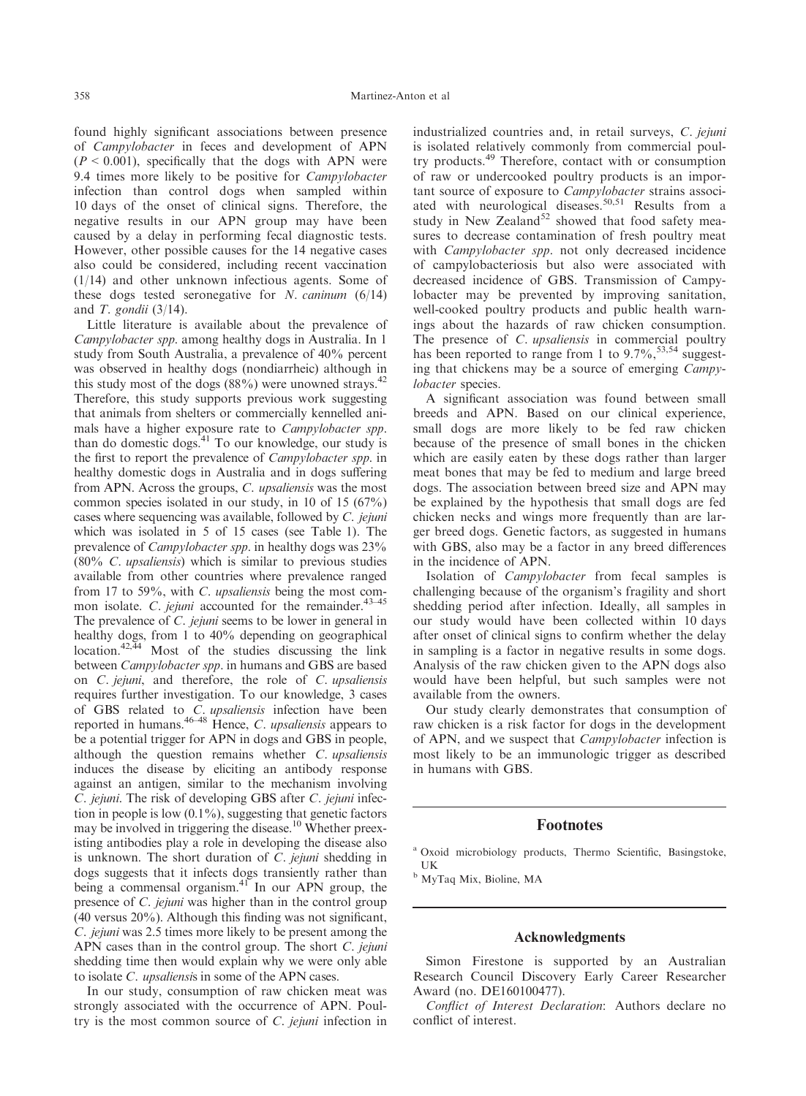found highly significant associations between presence of Campylobacter in feces and development of APN  $(P < 0.001)$ , specifically that the dogs with APN were 9.4 times more likely to be positive for Campylobacter infection than control dogs when sampled within 10 days of the onset of clinical signs. Therefore, the negative results in our APN group may have been caused by a delay in performing fecal diagnostic tests. However, other possible causes for the 14 negative cases also could be considered, including recent vaccination (1/14) and other unknown infectious agents. Some of these dogs tested seronegative for N. caninum  $(6/14)$ and  $T.$  gondii (3/14).

Little literature is available about the prevalence of Campylobacter spp. among healthy dogs in Australia. In 1 study from South Australia, a prevalence of 40% percent was observed in healthy dogs (nondiarrheic) although in this study most of the dogs  $(88\%)$  were unowned strays.<sup>42</sup> Therefore, this study supports previous work suggesting that animals from shelters or commercially kennelled animals have a higher exposure rate to Campylobacter spp. than do domestic dogs.<sup>41</sup> To our knowledge, our study is the first to report the prevalence of Campylobacter spp. in healthy domestic dogs in Australia and in dogs suffering from APN. Across the groups, C. upsaliensis was the most common species isolated in our study, in 10 of 15 (67%) cases where sequencing was available, followed by C. jejuni which was isolated in 5 of 15 cases (see Table 1). The prevalence of Campylobacter spp. in healthy dogs was 23%  $(80\% \, C. \,upsilon)$  which is similar to previous studies available from other countries where prevalence ranged from 17 to 59%, with C. upsaliensis being the most common isolate. C. jejuni accounted for the remainder.<sup>43-45</sup> The prevalence of *C. jejuni* seems to be lower in general in healthy dogs, from 1 to 40% depending on geographical  $\frac{42,44}{100}$  Most of the studies discussing the link between Campylobacter spp. in humans and GBS are based on C. jejuni, and therefore, the role of C. upsaliensis requires further investigation. To our knowledge, 3 cases of GBS related to *C. upsaliensis* infection have been reported in humans.<sup>46–48</sup> Hence, C. upsaliensis appears to be a potential trigger for APN in dogs and GBS in people, although the question remains whether C. upsaliensis induces the disease by eliciting an antibody response against an antigen, similar to the mechanism involving C. jejuni. The risk of developing GBS after C. jejuni infection in people is low  $(0.1\%)$ , suggesting that genetic factors may be involved in triggering the disease.10 Whether preexisting antibodies play a role in developing the disease also is unknown. The short duration of C. jejuni shedding in dogs suggests that it infects dogs transiently rather than being a commensal organism.<sup>41</sup> In our APN group, the presence of C. jejuni was higher than in the control group (40 versus 20%). Although this finding was not significant, C. jejuni was 2.5 times more likely to be present among the APN cases than in the control group. The short C. jejuni shedding time then would explain why we were only able to isolate C. upsaliensis in some of the APN cases.

In our study, consumption of raw chicken meat was strongly associated with the occurrence of APN. Poultry is the most common source of C. jejuni infection in industrialized countries and, in retail surveys, C. jejuni is isolated relatively commonly from commercial poultry products.<sup>49</sup> Therefore, contact with or consumption of raw or undercooked poultry products is an important source of exposure to Campylobacter strains associated with neurological diseases.<sup>50,51</sup> Results from a study in New Zealand<sup>52</sup> showed that food safety measures to decrease contamination of fresh poultry meat with *Campylobacter spp*. not only decreased incidence of campylobacteriosis but also were associated with decreased incidence of GBS. Transmission of Campylobacter may be prevented by improving sanitation, well-cooked poultry products and public health warnings about the hazards of raw chicken consumption. The presence of *C. upsaliensis* in commercial poultry has been reported to range from 1 to  $9.7\%$ ,  $^{53,54}$  suggesting that chickens may be a source of emerging Campylobacter species.

A significant association was found between small breeds and APN. Based on our clinical experience, small dogs are more likely to be fed raw chicken because of the presence of small bones in the chicken which are easily eaten by these dogs rather than larger meat bones that may be fed to medium and large breed dogs. The association between breed size and APN may be explained by the hypothesis that small dogs are fed chicken necks and wings more frequently than are larger breed dogs. Genetic factors, as suggested in humans with GBS, also may be a factor in any breed differences in the incidence of APN.

Isolation of Campylobacter from fecal samples is challenging because of the organism's fragility and short shedding period after infection. Ideally, all samples in our study would have been collected within 10 days after onset of clinical signs to confirm whether the delay in sampling is a factor in negative results in some dogs. Analysis of the raw chicken given to the APN dogs also would have been helpful, but such samples were not available from the owners.

Our study clearly demonstrates that consumption of raw chicken is a risk factor for dogs in the development of APN, and we suspect that Campylobacter infection is most likely to be an immunologic trigger as described in humans with GBS.

# Footnotes

<sup>a</sup> Oxoid microbiology products, Thermo Scientific, Basingstoke, UK

<sup>b</sup> MyTaq Mix, Bioline, MA

## Acknowledgments

Simon Firestone is supported by an Australian Research Council Discovery Early Career Researcher Award (no. DE160100477).

Conflict of Interest Declaration: Authors declare no conflict of interest.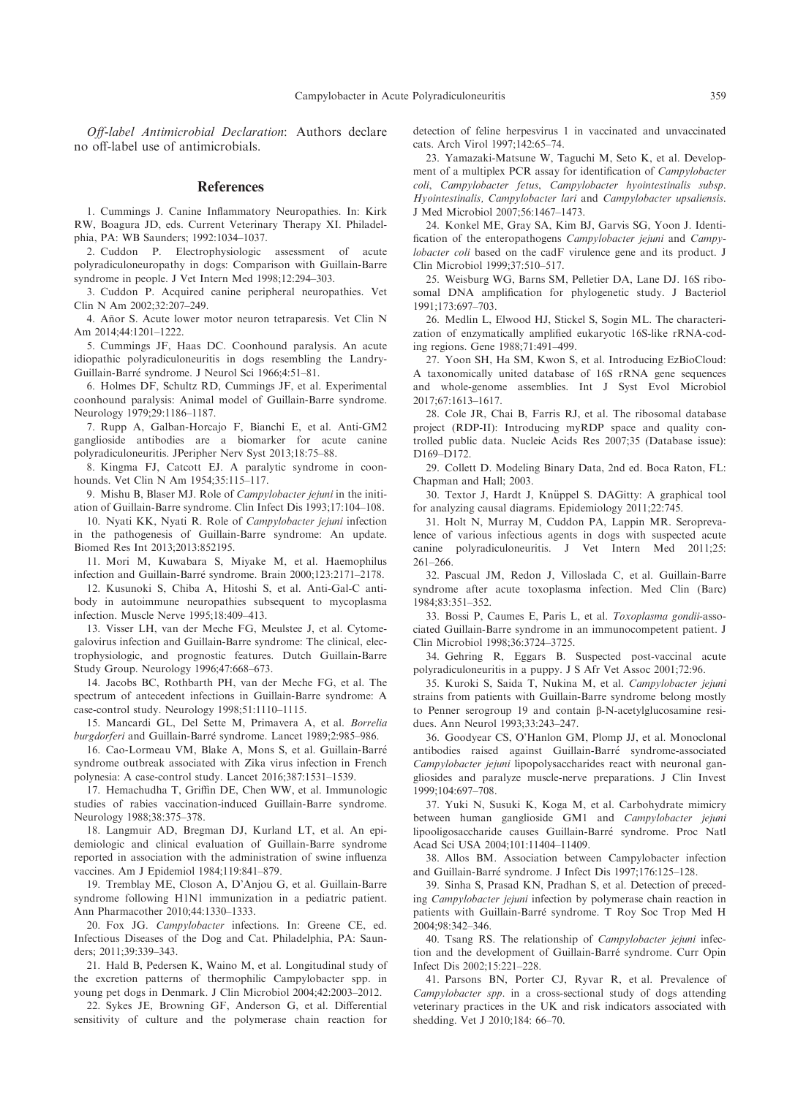Off-label Antimicrobial Declaration: Authors declare no off-label use of antimicrobials.

#### **References**

1. Cummings J. Canine Inflammatory Neuropathies. In: Kirk RW, Boagura JD, eds. Current Veterinary Therapy XI. Philadelphia, PA: WB Saunders; 1992:1034–1037.

2. Cuddon P. Electrophysiologic assessment of acute polyradiculoneuropathy in dogs: Comparison with Guillain-Barre syndrome in people. J Vet Intern Med 1998;12:294–303.

3. Cuddon P. Acquired canine peripheral neuropathies. Vet Clin N Am 2002;32:207–249.

4. Añor S. Acute lower motor neuron tetraparesis. Vet Clin N Am 2014;44:1201–1222.

5. Cummings JF, Haas DC. Coonhound paralysis. An acute idiopathic polyradiculoneuritis in dogs resembling the Landry-Guillain-Barre syndrome. J Neurol Sci 1966;4:51–81.

6. Holmes DF, Schultz RD, Cummings JF, et al. Experimental coonhound paralysis: Animal model of Guillain-Barre syndrome. Neurology 1979;29:1186–1187.

7. Rupp A, Galban-Horcajo F, Bianchi E, et al. Anti-GM2 ganglioside antibodies are a biomarker for acute canine polyradiculoneuritis. JPeripher Nerv Syst 2013;18:75–88.

8. Kingma FJ, Catcott EJ. A paralytic syndrome in coonhounds. Vet Clin N Am 1954;35:115–117.

9. Mishu B, Blaser MJ. Role of Campylobacter jejuni in the initiation of Guillain-Barre syndrome. Clin Infect Dis 1993;17:104–108.

10. Nyati KK, Nyati R. Role of Campylobacter jejuni infection in the pathogenesis of Guillain-Barre syndrome: An update. Biomed Res Int 2013;2013:852195.

11. Mori M, Kuwabara S, Miyake M, et al. Haemophilus infection and Guillain-Barre syndrome. Brain 2000;123:2171–2178.

12. Kusunoki S, Chiba A, Hitoshi S, et al. Anti-Gal-C antibody in autoimmune neuropathies subsequent to mycoplasma infection. Muscle Nerve 1995;18:409–413.

13. Visser LH, van der Meche FG, Meulstee J, et al. Cytomegalovirus infection and Guillain-Barre syndrome: The clinical, electrophysiologic, and prognostic features. Dutch Guillain-Barre Study Group. Neurology 1996;47:668–673.

14. Jacobs BC, Rothbarth PH, van der Meche FG, et al. The spectrum of antecedent infections in Guillain-Barre syndrome: A case-control study. Neurology 1998;51:1110–1115.

15. Mancardi GL, Del Sette M, Primavera A, et al. Borrelia burgdorferi and Guillain-Barre syndrome. Lancet 1989;2:985–986.

16. Cao-Lormeau VM, Blake A, Mons S, et al. Guillain-Barre syndrome outbreak associated with Zika virus infection in French polynesia: A case-control study. Lancet 2016;387:1531–1539.

17. Hemachudha T, Griffin DE, Chen WW, et al. Immunologic studies of rabies vaccination-induced Guillain-Barre syndrome. Neurology 1988;38:375–378.

18. Langmuir AD, Bregman DJ, Kurland LT, et al. An epidemiologic and clinical evaluation of Guillain-Barre syndrome reported in association with the administration of swine influenza vaccines. Am J Epidemiol 1984;119:841–879.

19. Tremblay ME, Closon A, D'Anjou G, et al. Guillain-Barre syndrome following H1N1 immunization in a pediatric patient. Ann Pharmacother 2010;44:1330–1333.

20. Fox JG. Campylobacter infections. In: Greene CE, ed. Infectious Diseases of the Dog and Cat. Philadelphia, PA: Saunders; 2011;39:339–343.

21. Hald B, Pedersen K, Waino M, et al. Longitudinal study of the excretion patterns of thermophilic Campylobacter spp. in young pet dogs in Denmark. J Clin Microbiol 2004;42:2003–2012.

22. Sykes JE, Browning GF, Anderson G, et al. Differential sensitivity of culture and the polymerase chain reaction for

detection of feline herpesvirus 1 in vaccinated and unvaccinated cats. Arch Virol 1997;142:65–74.

23. Yamazaki-Matsune W, Taguchi M, Seto K, et al. Development of a multiplex PCR assay for identification of Campylobacter coli, Campylobacter fetus, Campylobacter hyointestinalis subsp. Hyointestinalis, Campylobacter lari and Campylobacter upsaliensis. J Med Microbiol 2007;56:1467–1473.

24. Konkel ME, Gray SA, Kim BJ, Garvis SG, Yoon J. Identification of the enteropathogens Campylobacter jejuni and Campylobacter coli based on the cadF virulence gene and its product. J Clin Microbiol 1999;37:510–517.

25. Weisburg WG, Barns SM, Pelletier DA, Lane DJ. 16S ribosomal DNA amplification for phylogenetic study. J Bacteriol 1991;173:697–703.

26. Medlin L, Elwood HJ, Stickel S, Sogin ML. The characterization of enzymatically amplified eukaryotic 16S-like rRNA-coding regions. Gene 1988;71:491–499.

27. Yoon SH, Ha SM, Kwon S, et al. Introducing EzBioCloud: A taxonomically united database of 16S rRNA gene sequences and whole-genome assemblies. Int J Syst Evol Microbiol 2017;67:1613–1617.

28. Cole JR, Chai B, Farris RJ, et al. The ribosomal database project (RDP-II): Introducing myRDP space and quality controlled public data. Nucleic Acids Res 2007;35 (Database issue): D169–D172.

29. Collett D. Modeling Binary Data, 2nd ed. Boca Raton, FL: Chapman and Hall; 2003.

30. Textor J, Hardt J, Knüppel S. DAGitty: A graphical tool for analyzing causal diagrams. Epidemiology 2011;22:745.

31. Holt N, Murray M, Cuddon PA, Lappin MR. Seroprevalence of various infectious agents in dogs with suspected acute canine polyradiculoneuritis. J Vet Intern Med 2011;25: 261–266.

32. Pascual JM, Redon J, Villoslada C, et al. Guillain-Barre syndrome after acute toxoplasma infection. Med Clin (Barc) 1984;83:351–352.

33. Bossi P, Caumes E, Paris L, et al. Toxoplasma gondii-associated Guillain-Barre syndrome in an immunocompetent patient. J Clin Microbiol 1998;36:3724–3725.

34. Gehring R, Eggars B. Suspected post-vaccinal acute polyradiculoneuritis in a puppy. J S Afr Vet Assoc 2001;72:96.

35. Kuroki S, Saida T, Nukina M, et al. Campylobacter jejuni strains from patients with Guillain-Barre syndrome belong mostly to Penner serogroup 19 and contain  $\beta$ -N-acetylglucosamine residues. Ann Neurol 1993;33:243–247.

36. Goodyear CS, O'Hanlon GM, Plomp JJ, et al. Monoclonal antibodies raised against Guillain-Barre syndrome-associated Campylobacter jejuni lipopolysaccharides react with neuronal gangliosides and paralyze muscle-nerve preparations. J Clin Invest 1999;104:697–708.

37. Yuki N, Susuki K, Koga M, et al. Carbohydrate mimicry between human ganglioside GM1 and Campylobacter jejuni lipooligosaccharide causes Guillain-Barre syndrome. Proc Natl Acad Sci USA 2004;101:11404–11409.

38. Allos BM. Association between Campylobacter infection and Guillain-Barre syndrome. J Infect Dis 1997;176:125–128.

39. Sinha S, Prasad KN, Pradhan S, et al. Detection of preceding Campylobacter jejuni infection by polymerase chain reaction in patients with Guillain-Barre syndrome. T Roy Soc Trop Med H 2004;98:342–346.

40. Tsang RS. The relationship of *Campylobacter jejuni* infection and the development of Guillain-Barre syndrome. Curr Opin Infect Dis 2002;15:221–228.

41. Parsons BN, Porter CJ, Ryvar R, et al. Prevalence of Campylobacter spp. in a cross-sectional study of dogs attending veterinary practices in the UK and risk indicators associated with shedding. Vet J 2010;184: 66–70.